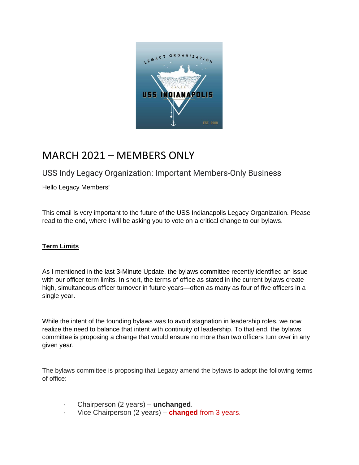

# MARCH 2021 – MEMBERS ONLY

# USS Indy Legacy Organization: Important Members-Only Business

Hello Legacy Members!

This email is very important to the future of the USS Indianapolis Legacy Organization. Please read to the end, where I will be asking you to vote on a critical change to our bylaws.

## **Term Limits**

As I mentioned in the last 3-Minute Update, the bylaws committee recently identified an issue with our officer term limits. In short, the terms of office as stated in the current bylaws create high, simultaneous officer turnover in future years—often as many as four of five officers in a single year.

While the intent of the founding bylaws was to avoid stagnation in leadership roles, we now realize the need to balance that intent with continuity of leadership. To that end, the bylaws committee is proposing a change that would ensure no more than two officers turn over in any given year.

The bylaws committee is proposing that Legacy amend the bylaws to adopt the following terms of office:

- · Chairperson (2 years) **unchanged**.
- · Vice Chairperson (2 years) **changed** from 3 years.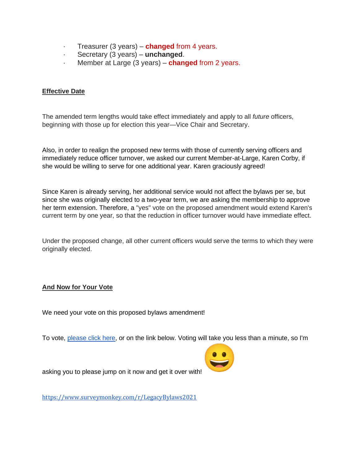- · Treasurer (3 years) **changed** from 4 years.
- · Secretary (3 years) **unchanged**.
- · Member at Large (3 years) **changed** from 2 years.

#### **Effective Date**

The amended term lengths would take effect immediately and apply to all *future* officers, beginning with those up for election this year—Vice Chair and Secretary.

Also, in order to realign the proposed new terms with those of currently serving officers and immediately reduce officer turnover, we asked our current Member-at-Large, Karen Corby, if she would be willing to serve for one additional year. Karen graciously agreed!

Since Karen is already serving, her additional service would not affect the bylaws per se, but since she was originally elected to a two-year term, we are asking the membership to approve her term extension. Therefore, a "yes" vote on the proposed amendment would extend Karen's current term by one year, so that the reduction in officer turnover would have immediate effect.

Under the proposed change, all other current officers would serve the terms to which they were originally elected.

### **And Now for Your Vote**

We need your vote on this proposed bylaws amendment!

To vote, [please click here,](https://www.surveymonkey.com/r/LegacyBylaws2021) or on the link below. Voting will take you less than a minute, so I'm



asking you to please jump on it now and get it over with!

<https://www.surveymonkey.com/r/LegacyBylaws2021>